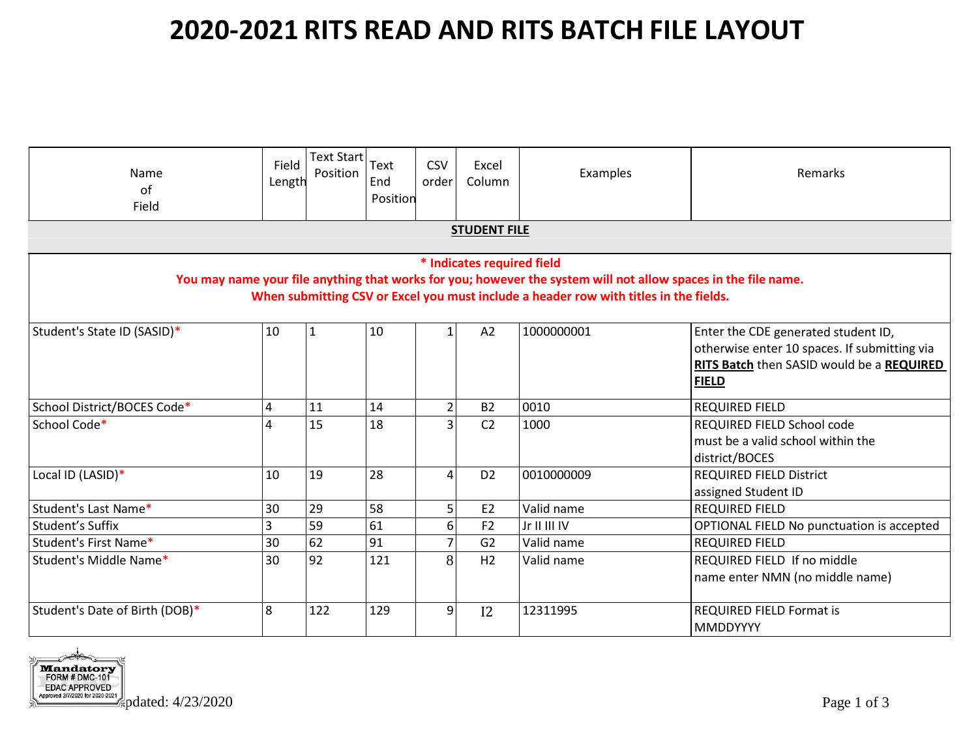| Name<br>of<br>Field                                                                                                                                                                                                                   | Field<br>Length | Text Start<br>Position | Text<br>End<br>Position | <b>CSV</b><br>order | Excel<br>Column | Examples     | Remarks                                                                                                                                          |  |
|---------------------------------------------------------------------------------------------------------------------------------------------------------------------------------------------------------------------------------------|-----------------|------------------------|-------------------------|---------------------|-----------------|--------------|--------------------------------------------------------------------------------------------------------------------------------------------------|--|
| <b>STUDENT FILE</b>                                                                                                                                                                                                                   |                 |                        |                         |                     |                 |              |                                                                                                                                                  |  |
| * Indicates required field<br>You may name your file anything that works for you; however the system will not allow spaces in the file name.<br>When submitting CSV or Excel you must include a header row with titles in the fields. |                 |                        |                         |                     |                 |              |                                                                                                                                                  |  |
| Student's State ID (SASID)*                                                                                                                                                                                                           | 10              | $\mathbf{1}$           | 10                      | $\mathbf{1}$        | A2              | 1000000001   | Enter the CDE generated student ID,<br>otherwise enter 10 spaces. If submitting via<br>RITS Batch then SASID would be a REQUIRED<br><b>FIELD</b> |  |
| School District/BOCES Code*                                                                                                                                                                                                           | 4               | 11                     | 14                      | $\overline{2}$      | <b>B2</b>       | 0010         | <b>REQUIRED FIELD</b>                                                                                                                            |  |
| School Code*                                                                                                                                                                                                                          | 4               | 15                     | 18                      | $\overline{3}$      | C <sub>2</sub>  | 1000         | REQUIRED FIELD School code<br>must be a valid school within the<br>district/BOCES                                                                |  |
| Local ID (LASID)*                                                                                                                                                                                                                     | 10              | 19                     | 28                      | 4                   | D <sub>2</sub>  | 0010000009   | <b>REQUIRED FIELD District</b><br>assigned Student ID                                                                                            |  |
| Student's Last Name*                                                                                                                                                                                                                  | 30              | 29                     | 58                      | 5                   | E <sub>2</sub>  | Valid name   | <b>REQUIRED FIELD</b>                                                                                                                            |  |
| Student's Suffix                                                                                                                                                                                                                      | 3               | 59                     | 61                      | 6                   | F2              | Jr II III IV | OPTIONAL FIELD No punctuation is accepted                                                                                                        |  |
| Student's First Name*                                                                                                                                                                                                                 | 30              | 62                     | 91                      | $\overline{7}$      | G <sub>2</sub>  | Valid name   | <b>REQUIRED FIELD</b>                                                                                                                            |  |
| Student's Middle Name*                                                                                                                                                                                                                | 30              | 92                     | 121                     | 8                   | H2              | Valid name   | REQUIRED FIELD If no middle<br>name enter NMN (no middle name)                                                                                   |  |
| Student's Date of Birth (DOB)*                                                                                                                                                                                                        | 8               | 122                    | 129                     | 9                   | 12              | 12311995     | <b>REQUIRED FIELD Format is</b><br><b>MMDDYYYY</b>                                                                                               |  |

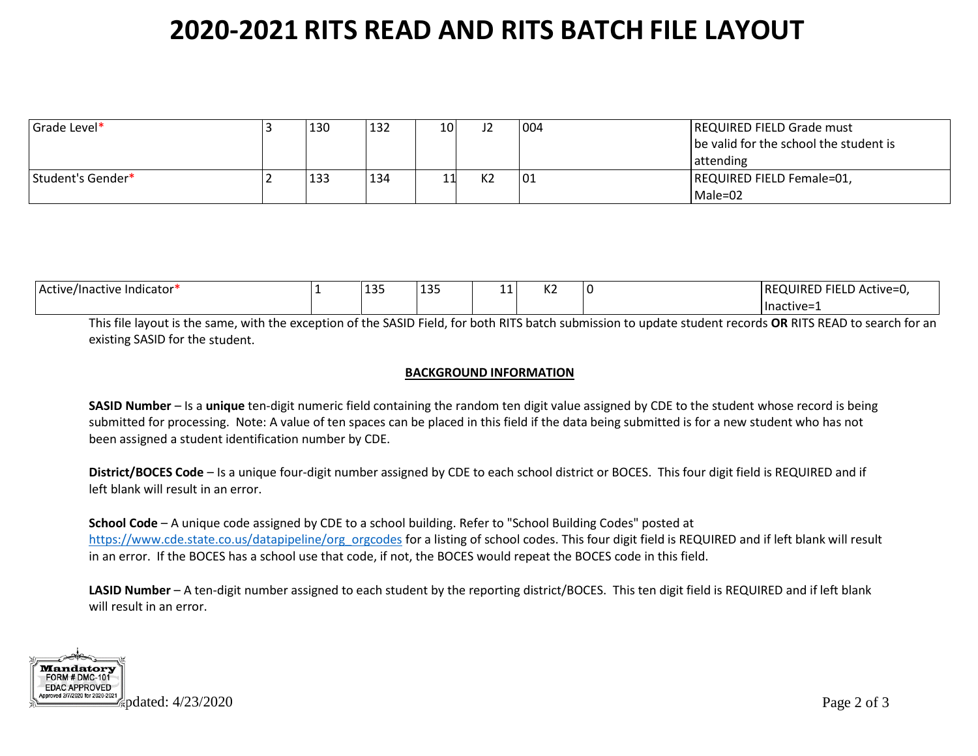| Grade Level*      | 130 | 132 | 10I | 12 | 004 | <b>REQUIRED FIELD Grade must</b><br>be valid for the school the student is<br>  attending |
|-------------------|-----|-----|-----|----|-----|-------------------------------------------------------------------------------------------|
| Student's Gender* | 133 | 134 |     | K2 | 01  | REQUIRED FIELD Female=01,<br>Male=02                                                      |

| Active/Inactive Indicator* | $\sim$<br>--- | 125<br>--- | $\overline{ }$<br>. . | $\overline{11}$<br>NZ | ר <sup>י</sup> FIELD Active=u,<br><b>IREQUIRED</b> |
|----------------------------|---------------|------------|-----------------------|-----------------------|----------------------------------------------------|
|                            |               |            |                       |                       | lnactive=1                                         |

This file layout is the same, with the exception of the SASID Field, for both RITS batch submission to update student records **OR** RITS READ to search for an existing SASID for the student.

#### **BACKGROUND INFORMATION**

**SASID Number** – Is a **unique** ten-digit numeric field containing the random ten digit value assigned by CDE to the student whose record is being submitted for processing. Note: A value of ten spaces can be placed in this field if the data being submitted is for a new student who has not been assigned a student identification number by CDE.

**District/BOCES Code** – Is a unique four-digit number assigned by CDE to each school district or BOCES. This four digit field is REQUIRED and if left blank will result in an error.

**School Code** – A unique code assigned by CDE to a school building. Refer to "School Building Codes" posted at [https://www.cde.state.co.us/datapipeline/org\\_orgcodes](https://www.cde.state.co.us/datapipeline/org_orgcodes) for a listing of school codes. This four digit field is REQUIRED and if left blank will result in an error. If the BOCES has a school use that code, if not, the BOCES would repeat the BOCES code in this field.

**LASID Number** – A ten-digit number assigned to each student by the reporting district/BOCES. This ten digit field is REQUIRED and if left blank will result in an error.

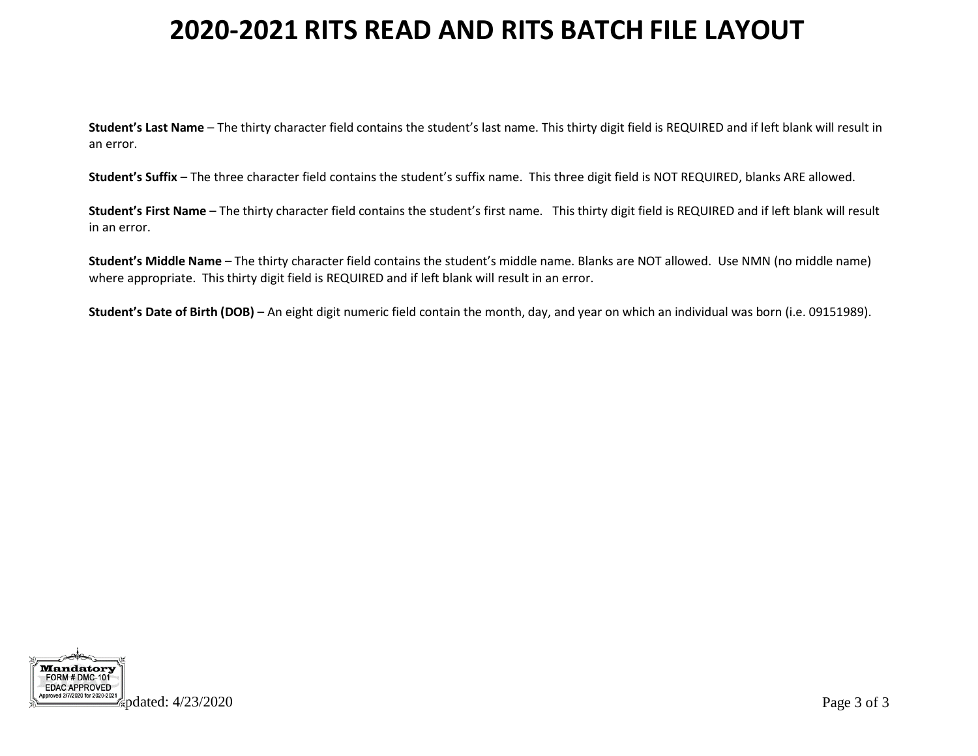**Student's Last Name** – The thirty character field contains the student's last name. This thirty digit field is REQUIRED and if left blank will result in an error.

**Student's Suffix** – The three character field contains the student's suffix name. This three digit field is NOT REQUIRED, blanks ARE allowed.

**Student's First Name** – The thirty character field contains the student's first name. This thirty digit field is REQUIRED and if left blank will result in an error.

**Student's Middle Name** – The thirty character field contains the student's middle name. Blanks are NOT allowed. Use NMN (no middle name) where appropriate. This thirty digit field is REQUIRED and if left blank will result in an error.

**Student's Date of Birth (DOB)** – An eight digit numeric field contain the month, day, and year on which an individual was born (i.e. 09151989).